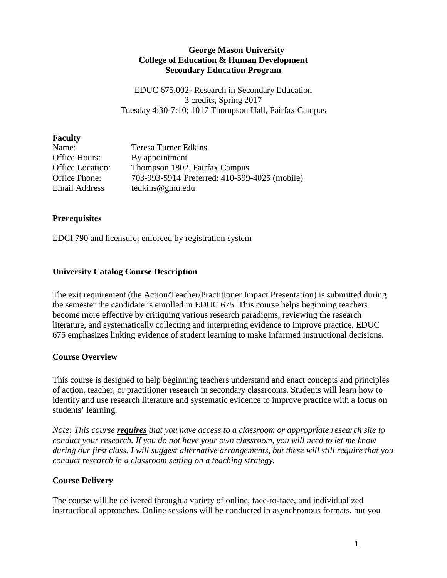### **George Mason University College of Education & Human Development Secondary Education Program**

EDUC 675.002- Research in Secondary Education 3 credits, Spring 2017 Tuesday 4:30-7:10; 1017 Thompson Hall, Fairfax Campus

#### **Faculty**

| Name:            | <b>Teresa Turner Edkins</b>                   |
|------------------|-----------------------------------------------|
| Office Hours:    | By appointment                                |
| Office Location: | Thompson 1802, Fairfax Campus                 |
| Office Phone:    | 703-993-5914 Preferred: 410-599-4025 (mobile) |
| Email Address    | tedkins@gmu.edu                               |

### **Prerequisites**

EDCI 790 and licensure; enforced by registration system

## **University Catalog Course Description**

The exit requirement (the Action/Teacher/Practitioner Impact Presentation) is submitted during the semester the candidate is enrolled in EDUC 675. This course helps beginning teachers become more effective by critiquing various research paradigms, reviewing the research literature, and systematically collecting and interpreting evidence to improve practice. EDUC 675 emphasizes linking evidence of student learning to make informed instructional decisions.

#### **Course Overview**

This course is designed to help beginning teachers understand and enact concepts and principles of action, teacher, or practitioner research in secondary classrooms. Students will learn how to identify and use research literature and systematic evidence to improve practice with a focus on students' learning.

*Note: This course requires that you have access to a classroom or appropriate research site to conduct your research. If you do not have your own classroom, you will need to let me know during our first class. I will suggest alternative arrangements, but these will still require that you conduct research in a classroom setting on a teaching strategy.*

## **Course Delivery**

The course will be delivered through a variety of online, face-to-face, and individualized instructional approaches. Online sessions will be conducted in asynchronous formats, but you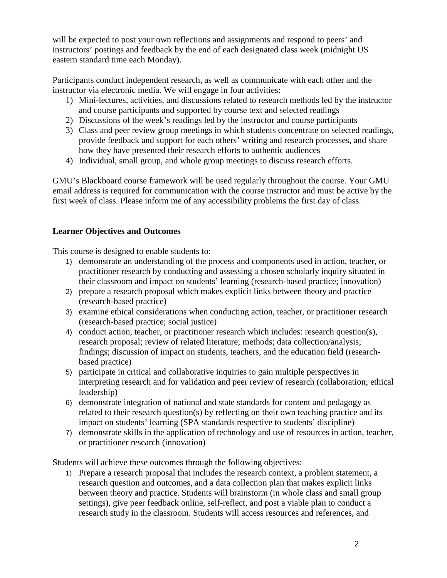will be expected to post your own reflections and assignments and respond to peers' and instructors' postings and feedback by the end of each designated class week (midnight US eastern standard time each Monday).

Participants conduct independent research, as well as communicate with each other and the instructor via electronic media. We will engage in four activities:

- 1) Mini-lectures, activities, and discussions related to research methods led by the instructor and course participants and supported by course text and selected readings
- 2) Discussions of the week's readings led by the instructor and course participants
- 3) Class and peer review group meetings in which students concentrate on selected readings, provide feedback and support for each others' writing and research processes, and share how they have presented their research efforts to authentic audiences
- 4) Individual, small group, and whole group meetings to discuss research efforts.

GMU's Blackboard course framework will be used regularly throughout the course. Your GMU email address is required for communication with the course instructor and must be active by the first week of class. Please inform me of any accessibility problems the first day of class.

# **Learner Objectives and Outcomes**

This course is designed to enable students to:

- 1) demonstrate an understanding of the process and components used in action, teacher, or practitioner research by conducting and assessing a chosen scholarly inquiry situated in their classroom and impact on students' learning (research-based practice; innovation)
- 2) prepare a research proposal which makes explicit links between theory and practice (research-based practice)
- 3) examine ethical considerations when conducting action, teacher, or practitioner research (research-based practice; social justice)
- 4) conduct action, teacher, or practitioner research which includes: research question(s), research proposal; review of related literature; methods; data collection/analysis; findings; discussion of impact on students, teachers, and the education field (researchbased practice)
- 5) participate in critical and collaborative inquiries to gain multiple perspectives in interpreting research and for validation and peer review of research (collaboration; ethical leadership)
- 6) demonstrate integration of national and state standards for content and pedagogy as related to their research question(s) by reflecting on their own teaching practice and its impact on students' learning (SPA standards respective to students' discipline)
- 7) demonstrate skills in the application of technology and use of resources in action, teacher, or practitioner research (innovation)

Students will achieve these outcomes through the following objectives:

1) Prepare a research proposal that includes the research context, a problem statement, a research question and outcomes, and a data collection plan that makes explicit links between theory and practice. Students will brainstorm (in whole class and small group settings), give peer feedback online, self-reflect, and post a viable plan to conduct a research study in the classroom. Students will access resources and references, and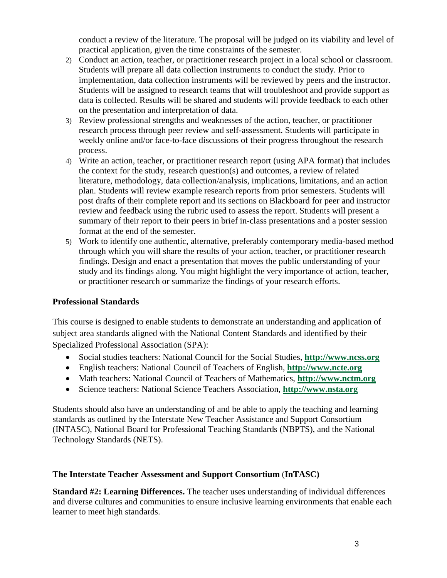conduct a review of the literature. The proposal will be judged on its viability and level of practical application, given the time constraints of the semester.

- 2) Conduct an action, teacher, or practitioner research project in a local school or classroom. Students will prepare all data collection instruments to conduct the study. Prior to implementation, data collection instruments will be reviewed by peers and the instructor. Students will be assigned to research teams that will troubleshoot and provide support as data is collected. Results will be shared and students will provide feedback to each other on the presentation and interpretation of data.
- 3) Review professional strengths and weaknesses of the action, teacher, or practitioner research process through peer review and self-assessment. Students will participate in weekly online and/or face-to-face discussions of their progress throughout the research process.
- 4) Write an action, teacher, or practitioner research report (using APA format) that includes the context for the study, research question(s) and outcomes, a review of related literature, methodology, data collection/analysis, implications, limitations, and an action plan. Students will review example research reports from prior semesters. Students will post drafts of their complete report and its sections on Blackboard for peer and instructor review and feedback using the rubric used to assess the report. Students will present a summary of their report to their peers in brief in-class presentations and a poster session format at the end of the semester.
- 5) Work to identify one authentic, alternative, preferably contemporary media-based method through which you will share the results of your action, teacher, or practitioner research findings. Design and enact a presentation that moves the public understanding of your study and its findings along. You might highlight the very importance of action, teacher, or practitioner research or summarize the findings of your research efforts.

## **Professional Standards**

This course is designed to enable students to demonstrate an understanding and application of subject area standards aligned with the National Content Standards and identified by their Specialized Professional Association (SPA):

- Social studies teachers: National Council for the Social Studies, **[http://www.ncss.org](http://www.ncss.org/)**
- English teachers: National Council of Teachers of English, **[http://www.ncte.org](http://www.ncte.org/)**
- Math teachers: National Council of Teachers of Mathematics, **[http://www.nctm.org](http://www.nctm.org/)**
- Science teachers: National Science Teachers Association, **[http://www.nsta.org](http://www.nsta.org/)**

Students should also have an understanding of and be able to apply the teaching and learning standards as outlined by the Interstate New Teacher Assistance and Support Consortium (INTASC), National Board for Professional Teaching Standards (NBPTS), and the National Technology Standards (NETS).

#### **The Interstate Teacher Assessment and Support Consortium** (**InTASC)**

**Standard #2: Learning Differences.** The teacher uses understanding of individual differences and diverse cultures and communities to ensure inclusive learning environments that enable each learner to meet high standards.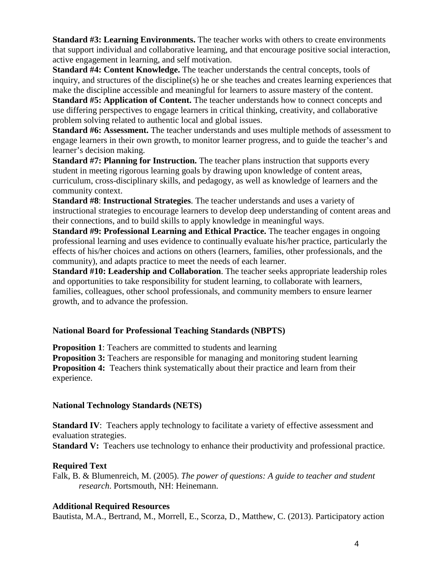**Standard #3: Learning Environments.** The teacher works with others to create environments that support individual and collaborative learning, and that encourage positive social interaction, active engagement in learning, and self motivation.

**Standard #4: Content Knowledge.** The teacher understands the central concepts, tools of inquiry, and structures of the discipline(s) he or she teaches and creates learning experiences that make the discipline accessible and meaningful for learners to assure mastery of the content.

**Standard #5: Application of Content.** The teacher understands how to connect concepts and use differing perspectives to engage learners in critical thinking, creativity, and collaborative problem solving related to authentic local and global issues.

**Standard #6: Assessment.** The teacher understands and uses multiple methods of assessment to engage learners in their own growth, to monitor learner progress, and to guide the teacher's and learner's decision making.

**Standard #7: Planning for Instruction.** The teacher plans instruction that supports every student in meeting rigorous learning goals by drawing upon knowledge of content areas, curriculum, cross-disciplinary skills, and pedagogy, as well as knowledge of learners and the community context.

**Standard #8**: **Instructional Strategies**. The teacher understands and uses a variety of instructional strategies to encourage learners to develop deep understanding of content areas and their connections, and to build skills to apply knowledge in meaningful ways.

**Standard #9: Professional Learning and Ethical Practice.** The teacher engages in ongoing professional learning and uses evidence to continually evaluate his/her practice, particularly the effects of his/her choices and actions on others (learners, families, other professionals, and the community), and adapts practice to meet the needs of each learner.

**Standard #10: Leadership and Collaboration**. The teacher seeks appropriate leadership roles and opportunities to take responsibility for student learning, to collaborate with learners, families, colleagues, other school professionals, and community members to ensure learner growth, and to advance the profession.

#### **National Board for Professional Teaching Standards (NBPTS)**

**Proposition 1:** Teachers are committed to students and learning **Proposition 3:** Teachers are responsible for managing and monitoring student learning

**Proposition 4:** Teachers think systematically about their practice and learn from their experience.

#### **National Technology Standards (NETS)**

**Standard IV:** Teachers apply technology to facilitate a variety of effective assessment and evaluation strategies.

**Standard V:** Teachers use technology to enhance their productivity and professional practice.

## **Required Text**

Falk, B. & Blumenreich, M. (2005). *The power of questions: A guide to teacher and student research*. Portsmouth, NH: Heinemann.

#### **Additional Required Resources**

Bautista, M.A., Bertrand, M., Morrell, E., Scorza, D., Matthew, C. (2013). Participatory action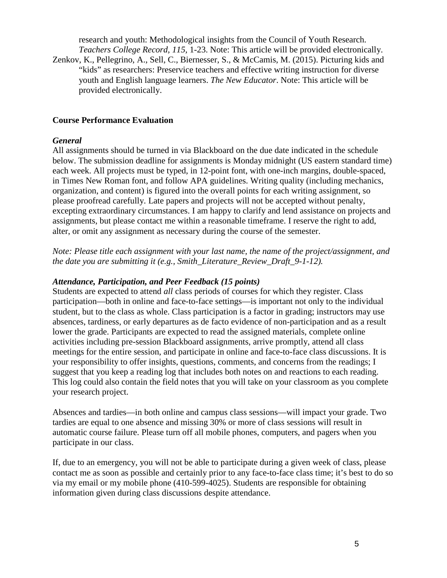research and youth: Methodological insights from the Council of Youth Research. *Teachers College Record, 115,* 1-23. Note: This article will be provided electronically. Zenkov, K., Pellegrino, A., Sell, C., Biernesser, S., & McCamis, M. (2015). Picturing kids and "kids" as researchers: Preservice teachers and effective writing instruction for diverse youth and English language learners. *The New Educator*. Note: This article will be provided electronically.

### **Course Performance Evaluation**

#### *General*

All assignments should be turned in via Blackboard on the due date indicated in the schedule below. The submission deadline for assignments is Monday midnight (US eastern standard time) each week. All projects must be typed, in 12-point font, with one-inch margins, double-spaced, in Times New Roman font, and follow APA guidelines. Writing quality (including mechanics, organization, and content) is figured into the overall points for each writing assignment, so please proofread carefully. Late papers and projects will not be accepted without penalty, excepting extraordinary circumstances. I am happy to clarify and lend assistance on projects and assignments, but please contact me within a reasonable timeframe. I reserve the right to add, alter, or omit any assignment as necessary during the course of the semester.

*Note: Please title each assignment with your last name, the name of the project/assignment, and the date you are submitting it (e.g., Smith\_Literature\_Review\_Draft\_9-1-12).*

#### *Attendance, Participation, and Peer Feedback (15 points)*

Students are expected to attend *all* class periods of courses for which they register. Class participation—both in online and face-to-face settings—is important not only to the individual student, but to the class as whole. Class participation is a factor in grading; instructors may use absences, tardiness, or early departures as de facto evidence of non-participation and as a result lower the grade. Participants are expected to read the assigned materials, complete online activities including pre-session Blackboard assignments, arrive promptly, attend all class meetings for the entire session, and participate in online and face-to-face class discussions. It is your responsibility to offer insights, questions, comments, and concerns from the readings; I suggest that you keep a reading log that includes both notes on and reactions to each reading. This log could also contain the field notes that you will take on your classroom as you complete your research project.

Absences and tardies—in both online and campus class sessions—will impact your grade. Two tardies are equal to one absence and missing 30% or more of class sessions will result in automatic course failure. Please turn off all mobile phones, computers, and pagers when you participate in our class.

If, due to an emergency, you will not be able to participate during a given week of class, please contact me as soon as possible and certainly prior to any face-to-face class time; it's best to do so via my email or my mobile phone (410-599-4025). Students are responsible for obtaining information given during class discussions despite attendance.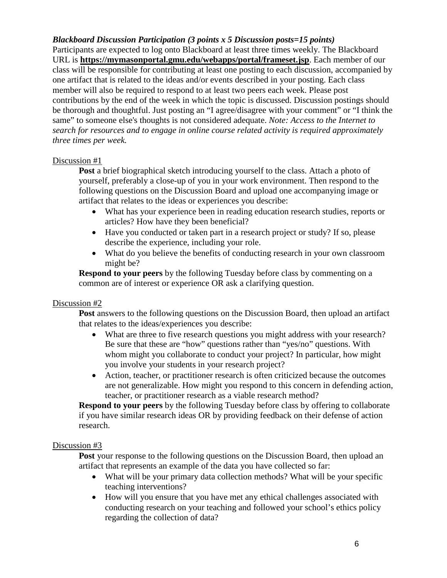## *Blackboard Discussion Participation (3 points x 5 Discussion posts=15 points)*

Participants are expected to log onto Blackboard at least three times weekly. The Blackboard URL is **<https://mymasonportal.gmu.edu/webapps/portal/frameset.jsp>**. Each member of our class will be responsible for contributing at least one posting to each discussion, accompanied by one artifact that is related to the ideas and/or events described in your posting. Each class member will also be required to respond to at least two peers each week. Please post contributions by the end of the week in which the topic is discussed. Discussion postings should be thorough and thoughtful. Just posting an "I agree/disagree with your comment" or "I think the same" to someone else's thoughts is not considered adequate. *Note: Access to the Internet to search for resources and to engage in online course related activity is required approximately three times per week.* 

#### Discussion #1

**Post** a brief biographical sketch introducing yourself to the class. Attach a photo of yourself, preferably a close-up of you in your work environment. Then respond to the following questions on the Discussion Board and upload one accompanying image or artifact that relates to the ideas or experiences you describe:

- What has your experience been in reading education research studies, reports or articles? How have they been beneficial?
- Have you conducted or taken part in a research project or study? If so, please describe the experience, including your role.
- What do you believe the benefits of conducting research in your own classroom might be?

**Respond to your peers** by the following Tuesday before class by commenting on a common are of interest or experience OR ask a clarifying question.

#### Discussion #2

**Post** answers to the following questions on the Discussion Board, then upload an artifact that relates to the ideas/experiences you describe:

- What are three to five research questions you might address with your research? Be sure that these are "how" questions rather than "yes/no" questions. With whom might you collaborate to conduct your project? In particular, how might you involve your students in your research project?
- Action, teacher, or practitioner research is often criticized because the outcomes are not generalizable. How might you respond to this concern in defending action, teacher, or practitioner research as a viable research method?

**Respond to your peers** by the following Tuesday before class by offering to collaborate if you have similar research ideas OR by providing feedback on their defense of action research.

#### Discussion #3

**Post** your response to the following questions on the Discussion Board, then upload an artifact that represents an example of the data you have collected so far:

- What will be your primary data collection methods? What will be your specific teaching interventions?
- How will you ensure that you have met any ethical challenges associated with conducting research on your teaching and followed your school's ethics policy regarding the collection of data?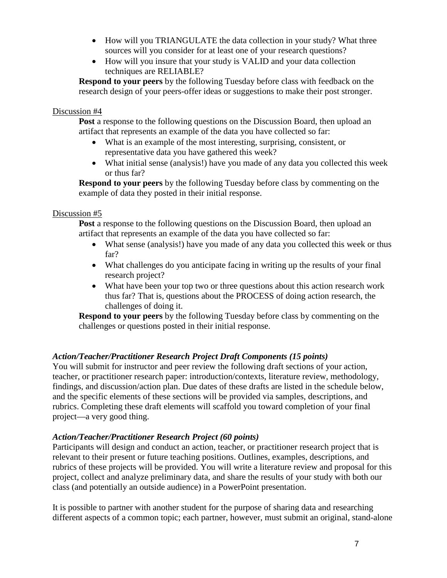- How will you TRIANGULATE the data collection in your study? What three sources will you consider for at least one of your research questions?
- How will you insure that your study is VALID and your data collection techniques are RELIABLE?

**Respond to your peers** by the following Tuesday before class with feedback on the research design of your peers-offer ideas or suggestions to make their post stronger.

### Discussion #4

**Post** a response to the following questions on the Discussion Board, then upload an artifact that represents an example of the data you have collected so far:

- What is an example of the most interesting, surprising, consistent, or representative data you have gathered this week?
- What initial sense (analysis!) have you made of any data you collected this week or thus far?

**Respond to your peers** by the following Tuesday before class by commenting on the example of data they posted in their initial response.

### Discussion #5

**Post** a response to the following questions on the Discussion Board, then upload an artifact that represents an example of the data you have collected so far:

- What sense (analysis!) have you made of any data you collected this week or thus far?
- What challenges do you anticipate facing in writing up the results of your final research project?
- What have been your top two or three questions about this action research work thus far? That is, questions about the PROCESS of doing action research, the challenges of doing it.

**Respond to your peers** by the following Tuesday before class by commenting on the challenges or questions posted in their initial response.

## *Action/Teacher/Practitioner Research Project Draft Components (15 points)*

You will submit for instructor and peer review the following draft sections of your action, teacher, or practitioner research paper: introduction/contexts, literature review, methodology, findings, and discussion/action plan. Due dates of these drafts are listed in the schedule below, and the specific elements of these sections will be provided via samples, descriptions, and rubrics. Completing these draft elements will scaffold you toward completion of your final project—a very good thing.

## *Action/Teacher/Practitioner Research Project (60 points)*

Participants will design and conduct an action, teacher, or practitioner research project that is relevant to their present or future teaching positions. Outlines, examples, descriptions, and rubrics of these projects will be provided. You will write a literature review and proposal for this project, collect and analyze preliminary data, and share the results of your study with both our class (and potentially an outside audience) in a PowerPoint presentation.

It is possible to partner with another student for the purpose of sharing data and researching different aspects of a common topic; each partner, however, must submit an original, stand-alone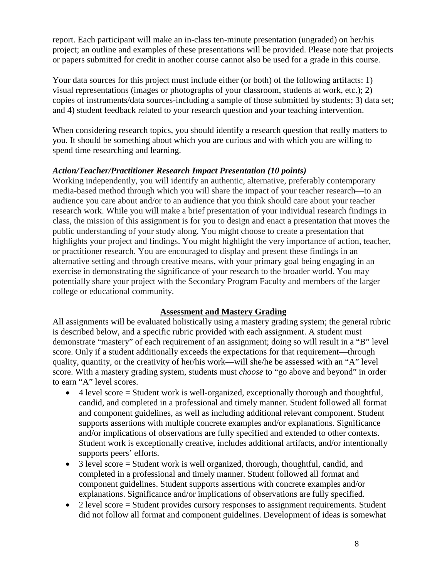report. Each participant will make an in-class ten-minute presentation (ungraded) on her/his project; an outline and examples of these presentations will be provided. Please note that projects or papers submitted for credit in another course cannot also be used for a grade in this course.

Your data sources for this project must include either (or both) of the following artifacts: 1) visual representations (images or photographs of your classroom, students at work, etc.); 2) copies of instruments/data sources-including a sample of those submitted by students; 3) data set; and 4) student feedback related to your research question and your teaching intervention.

When considering research topics, you should identify a research question that really matters to you. It should be something about which you are curious and with which you are willing to spend time researching and learning.

## *Action/Teacher/Practitioner Research Impact Presentation (10 points)*

Working independently, you will identify an authentic, alternative, preferably contemporary media-based method through which you will share the impact of your teacher research—to an audience you care about and/or to an audience that you think should care about your teacher research work. While you will make a brief presentation of your individual research findings in class, the mission of this assignment is for you to design and enact a presentation that moves the public understanding of your study along. You might choose to create a presentation that highlights your project and findings. You might highlight the very importance of action, teacher, or practitioner research. You are encouraged to display and present these findings in an alternative setting and through creative means, with your primary goal being engaging in an exercise in demonstrating the significance of your research to the broader world. You may potentially share your project with the Secondary Program Faculty and members of the larger college or educational community.

## **Assessment and Mastery Grading**

All assignments will be evaluated holistically using a mastery grading system; the general rubric is described below, and a specific rubric provided with each assignment. A student must demonstrate "mastery" of each requirement of an assignment; doing so will result in a "B" level score. Only if a student additionally exceeds the expectations for that requirement—through quality, quantity, or the creativity of her/his work—will she/he be assessed with an "A" level score. With a mastery grading system, students must *choose* to "go above and beyond" in order to earn "A" level scores.

- $\bullet$  4 level score = Student work is well-organized, exceptionally thorough and thoughtful, candid, and completed in a professional and timely manner. Student followed all format and component guidelines, as well as including additional relevant component. Student supports assertions with multiple concrete examples and/or explanations. Significance and/or implications of observations are fully specified and extended to other contexts. Student work is exceptionally creative, includes additional artifacts, and/or intentionally supports peers' efforts.
- 3 level score = Student work is well organized, thorough, thoughtful, candid, and completed in a professional and timely manner. Student followed all format and component guidelines. Student supports assertions with concrete examples and/or explanations. Significance and/or implications of observations are fully specified.
- 2 level score = Student provides cursory responses to assignment requirements. Student did not follow all format and component guidelines. Development of ideas is somewhat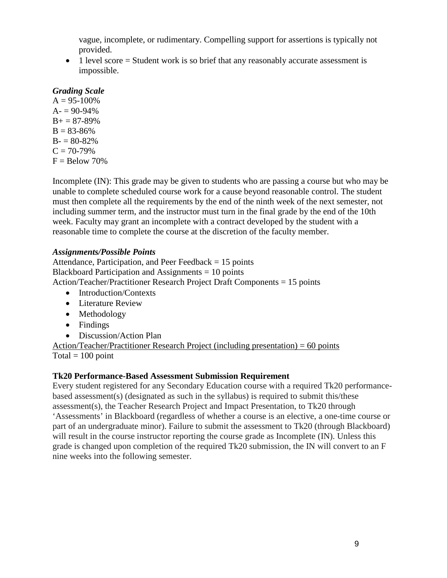vague, incomplete, or rudimentary. Compelling support for assertions is typically not provided.

 $\bullet$  1 level score = Student work is so brief that any reasonably accurate assessment is impossible.

### *Grading Scale*

 $A = 95 - 100\%$  $A = 90-94%$  $B+=87-89%$  $B = 83-86%$  $B - 80 - 82%$  $C = 70-79\%$  $F =$  Below 70%

Incomplete (IN): This grade may be given to students who are passing a course but who may be unable to complete scheduled course work for a cause beyond reasonable control. The student must then complete all the requirements by the end of the ninth week of the next semester, not including summer term, and the instructor must turn in the final grade by the end of the 10th week. Faculty may grant an incomplete with a contract developed by the student with a reasonable time to complete the course at the discretion of the faculty member.

### *Assignments/Possible Points*

Attendance, Participation, and Peer Feedback  $= 15$  points Blackboard Participation and Assignments = 10 points Action/Teacher/Practitioner Research Project Draft Components = 15 points

- Introduction/Contexts
- Literature Review
- Methodology
- Findings
- Discussion/Action Plan

Action/Teacher/Practitioner Research Project (including presentation) = 60 points Total  $= 100$  point

#### **Tk20 Performance-Based Assessment Submission Requirement**

Every student registered for any Secondary Education course with a required Tk20 performancebased assessment(s) (designated as such in the syllabus) is required to submit this/these assessment(s), the Teacher Research Project and Impact Presentation, to Tk20 through 'Assessments' in Blackboard (regardless of whether a course is an elective, a one-time course or part of an undergraduate minor). Failure to submit the assessment to Tk20 (through Blackboard) will result in the course instructor reporting the course grade as Incomplete (IN). Unless this grade is changed upon completion of the required Tk20 submission, the IN will convert to an F nine weeks into the following semester.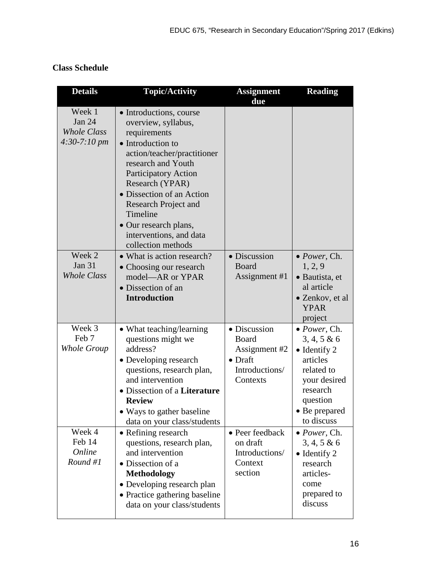# **Class Schedule**

| <b>Details</b>                                                        | <b>Topic/Activity</b>                                                                                                                                                                                                                                                                                                                                               | <b>Assignment</b><br>due                                                                | <b>Reading</b>                                                                                                                                                       |
|-----------------------------------------------------------------------|---------------------------------------------------------------------------------------------------------------------------------------------------------------------------------------------------------------------------------------------------------------------------------------------------------------------------------------------------------------------|-----------------------------------------------------------------------------------------|----------------------------------------------------------------------------------------------------------------------------------------------------------------------|
| Week 1<br>Jan 24<br><b>Whole Class</b><br>$4:30-7:10 \; pm$<br>Week 2 | • Introductions, course<br>overview, syllabus,<br>requirements<br>• Introduction to<br>action/teacher/practitioner<br>research and Youth<br><b>Participatory Action</b><br>Research (YPAR)<br>• Dissection of an Action<br>Research Project and<br>Timeline<br>• Our research plans,<br>interventions, and data<br>collection methods<br>• What is action research? | • Discussion                                                                            | $\bullet$ <i>Power</i> , Ch.                                                                                                                                         |
| Jan 31<br><b>Whole Class</b>                                          | • Choosing our research<br>model—AR or YPAR<br>• Dissection of an<br><b>Introduction</b>                                                                                                                                                                                                                                                                            | Board<br>Assignment #1                                                                  | 1, 2, 9<br>• Bautista, et<br>al article<br>• Zenkov, et al<br><b>YPAR</b><br>project                                                                                 |
| Week 3<br>Feb 7<br>Whole Group                                        | • What teaching/learning<br>questions might we<br>address?<br>• Developing research<br>questions, research plan,<br>and intervention<br>• Dissection of a Literature<br><b>Review</b><br>Ways to gather baseline<br>data on your class/students                                                                                                                     | · Discussion<br>Board<br>Assignment #2<br>$\bullet$ Draft<br>Introductions/<br>Contexts | $\bullet$ <i>Power</i> , Ch.<br>3, 4, 5 & 6<br>$\bullet$ Identify 2<br>articles<br>related to<br>your desired<br>research<br>question<br>• Be prepared<br>to discuss |
| Week 4<br>Feb 14<br><b>Online</b><br>Round #1                         | • Refining research<br>questions, research plan,<br>and intervention<br>• Dissection of a<br><b>Methodology</b><br>• Developing research plan<br>• Practice gathering baseline<br>data on your class/students                                                                                                                                                       | • Peer feedback<br>on draft<br>Introductions/<br>Context<br>section                     | $\bullet$ <i>Power</i> , Ch.<br>3, 4, 5 & 6<br>$\bullet$ Identify 2<br>research<br>articles-<br>come<br>prepared to<br>discuss                                       |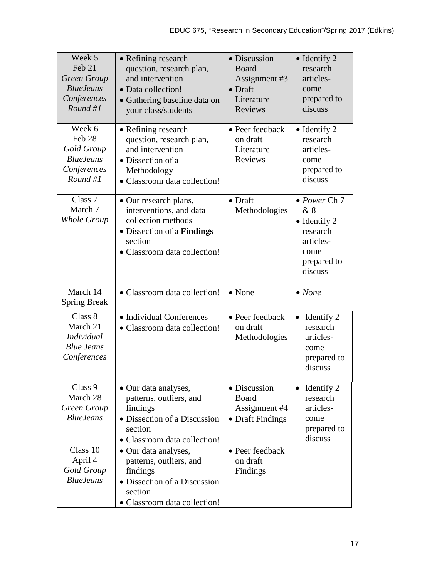| Week 5<br>Feb 21<br>Green Group<br><b>BlueJeans</b><br>Conferences<br>Round #1 | • Refining research<br>question, research plan,<br>and intervention<br>· Data collection!<br>• Gathering baseline data on<br>your class/students       | · Discussion<br>Board<br>Assignment #3<br>$\bullet$ Draft<br>Literature<br><b>Reviews</b> | $\bullet$ Identify 2<br>research<br>articles-<br>come<br>prepared to<br>discuss                               |
|--------------------------------------------------------------------------------|--------------------------------------------------------------------------------------------------------------------------------------------------------|-------------------------------------------------------------------------------------------|---------------------------------------------------------------------------------------------------------------|
| Week 6<br>Feb 28<br>Gold Group<br><b>BlueJeans</b><br>Conferences<br>Round #1  | • Refining research<br>question, research plan,<br>and intervention<br>• Dissection of a<br>Methodology<br>• Classroom data collection!                | • Peer feedback<br>on draft<br>Literature<br>Reviews                                      | $\bullet$ Identify 2<br>research<br>articles-<br>come<br>prepared to<br>discuss                               |
| Class <sub>7</sub><br>March 7<br><b>Whole Group</b>                            | • Our research plans,<br>interventions, and data<br>collection methods<br>• Dissection of a <b>Findings</b><br>section<br>• Classroom data collection! | $\bullet$ Draft<br>Methodologies                                                          | $\bullet$ Power Ch 7<br>&8<br>$\bullet$ Identify 2<br>research<br>articles-<br>come<br>prepared to<br>discuss |
|                                                                                |                                                                                                                                                        |                                                                                           |                                                                                                               |
| March 14<br><b>Spring Break</b>                                                | • Classroom data collection!                                                                                                                           | • None                                                                                    | $\bullet$ None                                                                                                |
| Class 8<br>March 21<br><b>Individual</b><br><b>Blue Jeans</b><br>Conferences   | · Individual Conferences<br>• Classroom data collection!                                                                                               | • Peer feedback<br>on draft<br>Methodologies                                              | Identify 2<br>$\bullet$<br>research<br>articles-<br>come<br>prepared to<br>discuss                            |
| Class 9<br>March 28<br>Green Group<br><b>BlueJeans</b>                         | • Our data analyses,<br>patterns, outliers, and<br>findings<br>• Dissection of a Discussion<br>section<br>• Classroom data collection!                 | • Discussion<br>Board<br>Assignment #4<br>• Draft Findings                                | Identify 2<br>$\bullet$<br>research<br>articles-<br>come<br>prepared to<br>discuss                            |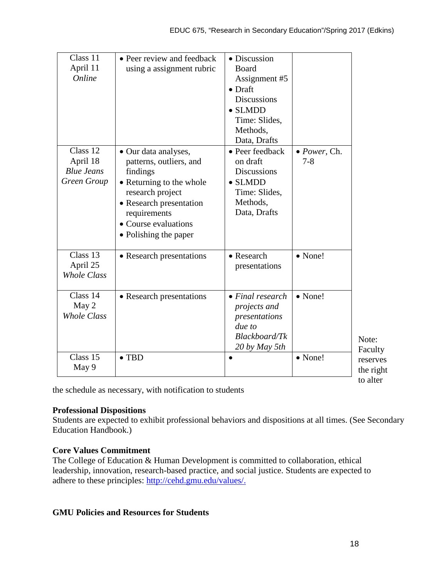| Class 11<br>April 11<br><b>Online</b><br>Class 12<br>April 18<br><b>Blue Jeans</b><br>Green Group | • Peer review and feedback<br>using a assignment rubric<br>• Our data analyses,<br>patterns, outliers, and<br>findings<br>• Returning to the whole<br>research project<br>• Research presentation<br>requirements<br>• Course evaluations<br>• Polishing the paper | · Discussion<br>Board<br>Assignment #5<br>$\bullet$ Draft<br><b>Discussions</b><br>$\bullet$ SLMDD<br>Time: Slides,<br>Methods,<br>Data, Drafts<br>• Peer feedback<br>on draft<br><b>Discussions</b><br>$\bullet$ SLMDD<br>Time: Slides,<br>Methods,<br>Data, Drafts | $\bullet$ Power, Ch.<br>$7 - 8$ |                                   |
|---------------------------------------------------------------------------------------------------|--------------------------------------------------------------------------------------------------------------------------------------------------------------------------------------------------------------------------------------------------------------------|----------------------------------------------------------------------------------------------------------------------------------------------------------------------------------------------------------------------------------------------------------------------|---------------------------------|-----------------------------------|
| Class 13<br>April 25<br><b>Whole Class</b>                                                        | • Research presentations                                                                                                                                                                                                                                           | • Research<br>presentations                                                                                                                                                                                                                                          | • None!                         |                                   |
| Class 14<br>May 2<br><b>Whole Class</b>                                                           | • Research presentations                                                                                                                                                                                                                                           | $\bullet$ Final research<br>projects and<br>presentations<br>due to<br><b>Blackboard/Tk</b><br>20 by May 5th                                                                                                                                                         | • None!                         | Note:<br>Faculty                  |
| Class 15<br>May 9                                                                                 | $\bullet$ TBD                                                                                                                                                                                                                                                      |                                                                                                                                                                                                                                                                      | • None!                         | reserves<br>the right<br>to alter |

the schedule as necessary, with notification to students

#### **Professional Dispositions**

Students are expected to exhibit professional behaviors and dispositions at all times. (See Secondary Education Handbook.)

## **Core Values Commitment**

The College of Education & Human Development is committed to collaboration, ethical leadership, innovation, research-based practice, and social justice. Students are expected to adhere to these principles: [http://cehd.gmu.edu/values/.](http://cehd.gmu.edu/values/)

## **GMU Policies and Resources for Students**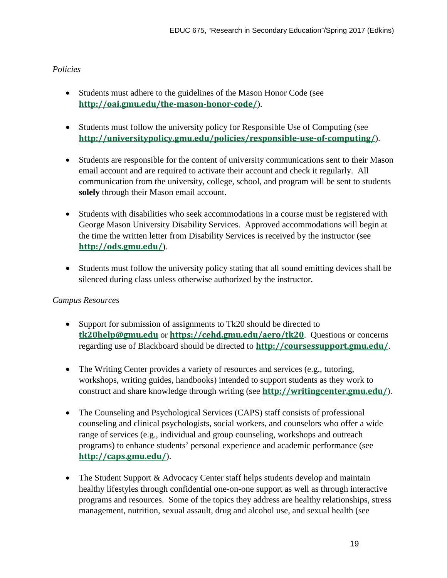## *Policies*

- Students must adhere to the guidelines of the Mason Honor Code (see **<http://oai.gmu.edu/the-mason-honor-code/>**).
- Students must follow the university policy for Responsible Use of Computing (see **<http://universitypolicy.gmu.edu/policies/responsible-use-of-computing/>**).
- Students are responsible for the content of university communications sent to their Mason email account and are required to activate their account and check it regularly. All communication from the university, college, school, and program will be sent to students **solely** through their Mason email account.
- Students with disabilities who seek accommodations in a course must be registered with George Mason University Disability Services. Approved accommodations will begin at the time the written letter from Disability Services is received by the instructor (see **<http://ods.gmu.edu/>**).
- Students must follow the university policy stating that all sound emitting devices shall be silenced during class unless otherwise authorized by the instructor.

## *Campus Resources*

- Support for submission of assignments to Tk20 should be directed to **[tk20help@gmu.edu](mailto:tk20help@gmu.edu)** or **<https://cehd.gmu.edu/aero/tk20>**. Questions or concerns regarding use of Blackboard should be directed to **<http://coursessupport.gmu.edu/>**.
- The Writing Center provides a variety of resources and services (e.g., tutoring, workshops, writing guides, handbooks) intended to support students as they work to construct and share knowledge through writing (see **<http://writingcenter.gmu.edu/>**).
- The Counseling and Psychological Services (CAPS) staff consists of professional counseling and clinical psychologists, social workers, and counselors who offer a wide range of services (e.g., individual and group counseling, workshops and outreach programs) to enhance students' personal experience and academic performance (see **<http://caps.gmu.edu/>**).
- The Student Support & Advocacy Center staff helps students develop and maintain healthy lifestyles through confidential one-on-one support as well as through interactive programs and resources. Some of the topics they address are healthy relationships, stress management, nutrition, sexual assault, drug and alcohol use, and sexual health (see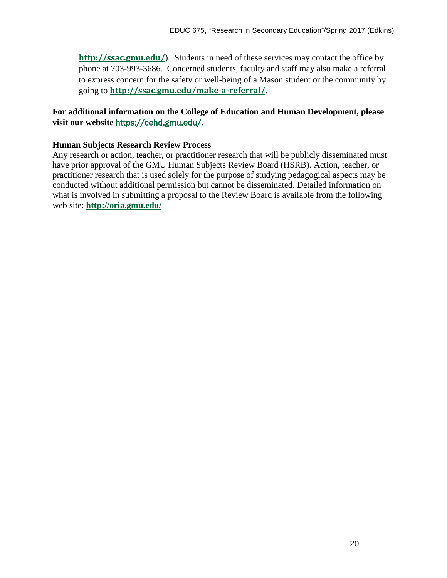**<http://ssac.gmu.edu/>**). Students in need of these services may contact the office by phone at 703-993-3686. Concerned students, faculty and staff may also make a referral to express concern for the safety or well-being of a Mason student or the community by going to **<http://ssac.gmu.edu/make-a-referral/>**.

## **For additional information on the College of Education and Human Development, please visit our website** <https://cehd.gmu.edu/>**.**

## **Human Subjects Research Review Process**

Any research or action, teacher, or practitioner research that will be publicly disseminated must have prior approval of the GMU Human Subjects Review Board (HSRB). Action, teacher, or practitioner research that is used solely for the purpose of studying pedagogical aspects may be conducted without additional permission but cannot be disseminated. Detailed information on what is involved in submitting a proposal to the Review Board is available from the following web site: **<http://oria.gmu.edu/>**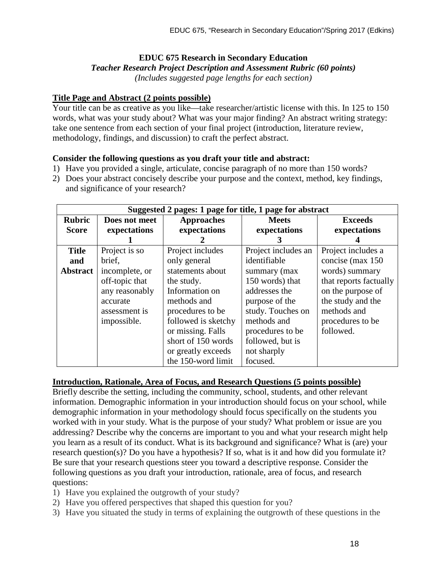#### **EDUC 675 Research in Secondary Education** *Teacher Research Project Description and Assessment Rubric (60 points) (Includes suggested page lengths for each section)*

## **Title Page and Abstract (2 points possible)**

Your title can be as creative as you like—take researcher/artistic license with this. In 125 to 150 words, what was your study about? What was your major finding? An abstract writing strategy: take one sentence from each section of your final project (introduction, literature review, methodology, findings, and discussion) to craft the perfect abstract.

### **Consider the following questions as you draft your title and abstract:**

- 1) Have you provided a single, articulate, concise paragraph of no more than 150 words?
- 2) Does your abstract concisely describe your purpose and the context, method, key findings, and significance of your research?

|                               | Suggested 2 pages: 1 page for title, 1 page for abstract |                                   |                              |                                |  |
|-------------------------------|----------------------------------------------------------|-----------------------------------|------------------------------|--------------------------------|--|
| <b>Rubric</b><br><b>Score</b> | Does not meet<br>expectations                            | <b>Approaches</b><br>expectations | <b>Meets</b><br>expectations | <b>Exceeds</b><br>expectations |  |
|                               |                                                          |                                   |                              |                                |  |
| <b>Title</b>                  | Project is so                                            | Project includes                  | Project includes an          | Project includes a             |  |
| and                           | brief,                                                   | only general                      | identifiable                 | concise (max 150)              |  |
| <b>Abstract</b>               | incomplete, or                                           | statements about                  | summary (max                 | words) summary                 |  |
|                               | off-topic that                                           | the study.                        | 150 words) that              | that reports factually         |  |
|                               | any reasonably                                           | Information on                    | addresses the                | on the purpose of              |  |
|                               | accurate                                                 | methods and                       | purpose of the               | the study and the              |  |
|                               | assessment is                                            | procedures to be                  | study. Touches on            | methods and                    |  |
|                               | impossible.                                              | followed is sketchy               | methods and                  | procedures to be               |  |
|                               |                                                          | or missing. Falls                 | procedures to be             | followed.                      |  |
|                               |                                                          | short of 150 words                | followed, but is             |                                |  |
|                               |                                                          | or greatly exceeds                | not sharply                  |                                |  |
|                               |                                                          | the 150-word limit                | focused.                     |                                |  |

#### **Introduction, Rationale, Area of Focus, and Research Questions (5 points possible)**

Briefly describe the setting, including the community, school, students, and other relevant information. Demographic information in your introduction should focus on your school, while demographic information in your methodology should focus specifically on the students you worked with in your study. What is the purpose of your study? What problem or issue are you addressing? Describe why the concerns are important to you and what your research might help you learn as a result of its conduct. What is its background and significance? What is (are) your research question(s)? Do you have a hypothesis? If so, what is it and how did you formulate it? Be sure that your research questions steer you toward a descriptive response. Consider the following questions as you draft your introduction, rationale, area of focus, and research questions:

- 1) Have you explained the outgrowth of your study?
- 2) Have you offered perspectives that shaped this question for you?
- 3) Have you situated the study in terms of explaining the outgrowth of these questions in the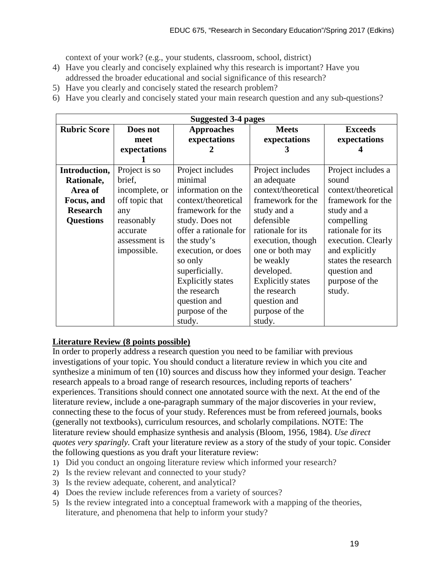context of your work? (e.g., your students, classroom, school, district)

- 4) Have you clearly and concisely explained why this research is important? Have you addressed the broader educational and social significance of this research?
- 5) Have you clearly and concisely stated the research problem?
- 6) Have you clearly and concisely stated your main research question and any sub-questions?

|                     | <b>Suggested 3-4 pages</b> |                          |                          |                     |
|---------------------|----------------------------|--------------------------|--------------------------|---------------------|
| <b>Rubric Score</b> | Does not                   | <b>Approaches</b>        | <b>Meets</b>             | <b>Exceeds</b>      |
|                     | meet                       | expectations             | expectations             | expectations        |
|                     | expectations               |                          | 3                        |                     |
|                     |                            |                          |                          |                     |
| Introduction,       | Project is so              | Project includes         | Project includes         | Project includes a  |
| Rationale,          | brief,                     | minimal                  | an adequate              | sound               |
| Area of             | incomplete, or             | information on the       | context/theoretical      | context/theoretical |
| Focus, and          | off topic that             | context/theoretical      | framework for the        | framework for the   |
| <b>Research</b>     | any                        | framework for the        | study and a              | study and a         |
| <b>Questions</b>    | reasonably                 | study. Does not          | defensible               | compelling          |
|                     | accurate                   | offer a rationale for    | rationale for its        | rationale for its   |
|                     | assessment is              | the study's              | execution, though        | execution. Clearly  |
|                     | impossible.                | execution, or does       | one or both may          | and explicitly      |
|                     |                            | so only                  | be weakly                | states the research |
|                     |                            | superficially.           | developed.               | question and        |
|                     |                            | <b>Explicitly states</b> | <b>Explicitly states</b> | purpose of the      |
|                     |                            | the research             | the research             | study.              |
|                     |                            | question and             | question and             |                     |
|                     |                            | purpose of the           | purpose of the           |                     |
|                     |                            | study.                   | study.                   |                     |

# **Literature Review (8 points possible)**

In order to properly address a research question you need to be familiar with previous investigations of your topic. You should conduct a literature review in which you cite and synthesize a minimum of ten (10) sources and discuss how they informed your design. Teacher research appeals to a broad range of research resources, including reports of teachers' experiences. Transitions should connect one annotated source with the next. At the end of the literature review, include a one-paragraph summary of the major discoveries in your review, connecting these to the focus of your study. References must be from refereed journals, books (generally not textbooks), curriculum resources, and scholarly compilations. NOTE: The literature review should emphasize synthesis and analysis (Bloom, 1956, 1984). *Use direct quotes very sparingly.* Craft your literature review as a story of the study of your topic. Consider the following questions as you draft your literature review:

- 1) Did you conduct an ongoing literature review which informed your research?
- 2) Is the review relevant and connected to your study?
- 3) Is the review adequate, coherent, and analytical?
- 4) Does the review include references from a variety of sources?
- 5) Is the review integrated into a conceptual framework with a mapping of the theories, literature, and phenomena that help to inform your study?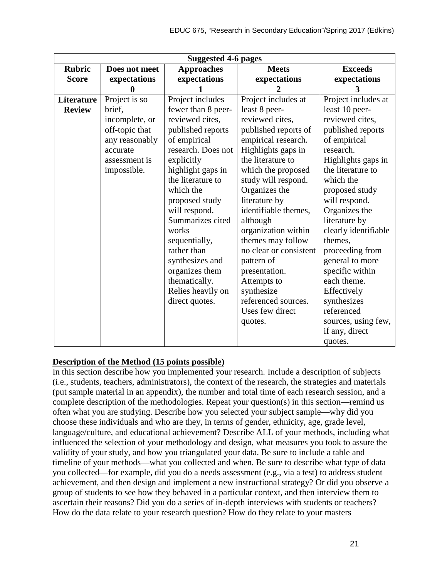|               | <b>Suggested 4-6 pages</b> |                    |                        |                      |  |
|---------------|----------------------------|--------------------|------------------------|----------------------|--|
| <b>Rubric</b> | Does not meet              | <b>Approaches</b>  | <b>Meets</b>           | <b>Exceeds</b>       |  |
| <b>Score</b>  | expectations               | expectations       | expectations           | expectations         |  |
|               | 0                          |                    |                        | 3                    |  |
| Literature    | Project is so              | Project includes   | Project includes at    | Project includes at  |  |
| <b>Review</b> | brief,                     | fewer than 8 peer- | least 8 peer-          | least 10 peer-       |  |
|               | incomplete, or             | reviewed cites,    | reviewed cites,        | reviewed cites,      |  |
|               | off-topic that             | published reports  | published reports of   | published reports    |  |
|               | any reasonably             | of empirical       | empirical research.    | of empirical         |  |
|               | accurate                   | research. Does not | Highlights gaps in     | research.            |  |
|               | assessment is              | explicitly         | the literature to      | Highlights gaps in   |  |
|               | impossible.                | highlight gaps in  | which the proposed     | the literature to    |  |
|               |                            | the literature to  | study will respond.    | which the            |  |
|               |                            | which the          | Organizes the          | proposed study       |  |
|               |                            | proposed study     | literature by          | will respond.        |  |
|               |                            | will respond.      | identifiable themes,   | Organizes the        |  |
|               |                            | Summarizes cited   | although               | literature by        |  |
|               |                            | works              | organization within    | clearly identifiable |  |
|               |                            | sequentially,      | themes may follow      | themes,              |  |
|               |                            | rather than        | no clear or consistent | proceeding from      |  |
|               |                            | synthesizes and    | pattern of             | general to more      |  |
|               |                            | organizes them     | presentation.          | specific within      |  |
|               |                            | thematically.      | Attempts to            | each theme.          |  |
|               |                            | Relies heavily on  | synthesize             | Effectively          |  |
|               |                            | direct quotes.     | referenced sources.    | synthesizes          |  |
|               |                            |                    | Uses few direct        | referenced           |  |
|               |                            |                    | quotes.                | sources, using few,  |  |
|               |                            |                    |                        | if any, direct       |  |
|               |                            |                    |                        | quotes.              |  |

## **Description of the Method (15 points possible)**

In this section describe how you implemented your research. Include a description of subjects (i.e., students, teachers, administrators), the context of the research, the strategies and materials (put sample material in an appendix), the number and total time of each research session, and a complete description of the methodologies. Repeat your question $(s)$  in this section—remind us often what you are studying. Describe how you selected your subject sample—why did you choose these individuals and who are they, in terms of gender, ethnicity, age, grade level, language/culture, and educational achievement? Describe ALL of your methods, including what influenced the selection of your methodology and design, what measures you took to assure the validity of your study, and how you triangulated your data. Be sure to include a table and timeline of your methods—what you collected and when. Be sure to describe what type of data you collected—for example, did you do a needs assessment (e.g., via a test) to address student achievement, and then design and implement a new instructional strategy? Or did you observe a group of students to see how they behaved in a particular context, and then interview them to ascertain their reasons? Did you do a series of in-depth interviews with students or teachers? How do the data relate to your research question? How do they relate to your masters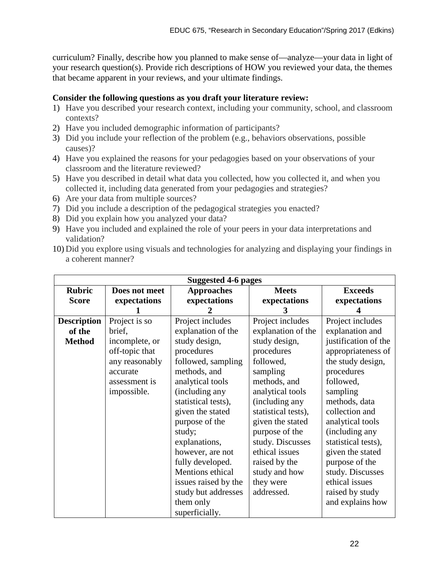curriculum? Finally, describe how you planned to make sense of—analyze—your data in light of your research question(s). Provide rich descriptions of HOW you reviewed your data, the themes that became apparent in your reviews, and your ultimate findings.

# **Consider the following questions as you draft your literature review:**

- 1) Have you described your research context, including your community, school, and classroom contexts?
- 2) Have you included demographic information of participants?
- 3) Did you include your reflection of the problem (e.g., behaviors observations, possible causes)?
- 4) Have you explained the reasons for your pedagogies based on your observations of your classroom and the literature reviewed?
- 5) Have you described in detail what data you collected, how you collected it, and when you collected it, including data generated from your pedagogies and strategies?
- 6) Are your data from multiple sources?
- 7) Did you include a description of the pedagogical strategies you enacted?
- 8) Did you explain how you analyzed your data?
- 9) Have you included and explained the role of your peers in your data interpretations and validation?
- 10) Did you explore using visuals and technologies for analyzing and displaying your findings in a coherent manner?

|                    | <b>Suggested 4-6 pages</b> |                      |                     |                      |
|--------------------|----------------------------|----------------------|---------------------|----------------------|
| <b>Rubric</b>      | Does not meet              | <b>Approaches</b>    | <b>Meets</b>        | <b>Exceeds</b>       |
| <b>Score</b>       | expectations               | expectations         | expectations        | expectations         |
|                    |                            |                      |                     |                      |
| <b>Description</b> | Project is so              | Project includes     | Project includes    | Project includes     |
| of the             | brief,                     | explanation of the   | explanation of the  | explanation and      |
| <b>Method</b>      | incomplete, or             | study design,        | study design,       | justification of the |
|                    | off-topic that             | procedures           | procedures          | appropriateness of   |
|                    | any reasonably             | followed, sampling   | followed,           | the study design,    |
|                    | accurate                   | methods, and         | sampling            | procedures           |
|                    | assessment is              | analytical tools     | methods, and        | followed,            |
|                    | impossible.                | (including any       | analytical tools    | sampling             |
|                    |                            | statistical tests),  | (including any      | methods, data        |
|                    |                            | given the stated     | statistical tests), | collection and       |
|                    |                            | purpose of the       | given the stated    | analytical tools     |
|                    |                            | study;               | purpose of the      | (including any       |
|                    |                            | explanations,        | study. Discusses    | statistical tests),  |
|                    |                            | however, are not     | ethical issues      | given the stated     |
|                    |                            | fully developed.     | raised by the       | purpose of the       |
|                    |                            | Mentions ethical     | study and how       | study. Discusses     |
|                    |                            | issues raised by the | they were           | ethical issues       |
|                    |                            | study but addresses  | addressed.          | raised by study      |
|                    |                            | them only            |                     | and explains how     |
|                    |                            | superficially.       |                     |                      |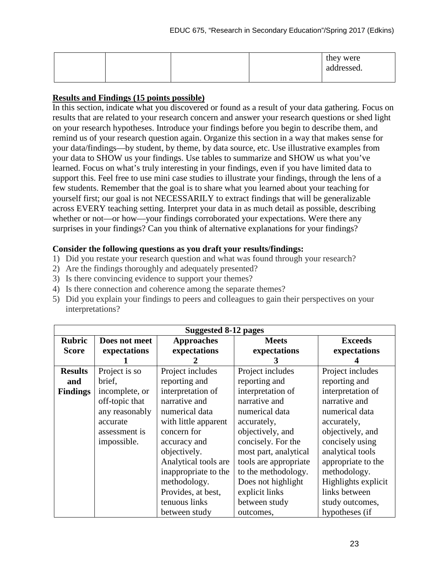|  |  | they were<br>addressed. |
|--|--|-------------------------|
|  |  |                         |

## **Results and Findings (15 points possible)**

In this section, indicate what you discovered or found as a result of your data gathering. Focus on results that are related to your research concern and answer your research questions or shed light on your research hypotheses. Introduce your findings before you begin to describe them, and remind us of your research question again. Organize this section in a way that makes sense for your data/findings—by student, by theme, by data source, etc. Use illustrative examples from your data to SHOW us your findings. Use tables to summarize and SHOW us what you've learned. Focus on what's truly interesting in your findings, even if you have limited data to support this. Feel free to use mini case studies to illustrate your findings, through the lens of a few students. Remember that the goal is to share what you learned about your teaching for yourself first; our goal is not NECESSARILY to extract findings that will be generalizable across EVERY teaching setting. Interpret your data in as much detail as possible, describing whether or not—or how—your findings corroborated your expectations. Were there any surprises in your findings? Can you think of alternative explanations for your findings?

## **Consider the following questions as you draft your results/findings:**

- 1) Did you restate your research question and what was found through your research?
- 2) Are the findings thoroughly and adequately presented?
- 3) Is there convincing evidence to support your themes?
- 4) Is there connection and coherence among the separate themes?
- 5) Did you explain your findings to peers and colleagues to gain their perspectives on your interpretations?

|                 | Suggested 8-12 pages |                      |                       |                     |  |
|-----------------|----------------------|----------------------|-----------------------|---------------------|--|
| <b>Rubric</b>   | Does not meet        | <b>Approaches</b>    | <b>Meets</b>          | <b>Exceeds</b>      |  |
| <b>Score</b>    | expectations         | expectations         | expectations          | expectations        |  |
|                 |                      |                      |                       |                     |  |
| <b>Results</b>  | Project is so        | Project includes     | Project includes      | Project includes    |  |
| and             | brief,               | reporting and        | reporting and         | reporting and       |  |
| <b>Findings</b> | incomplete, or       | interpretation of    | interpretation of     | interpretation of   |  |
|                 | off-topic that       | narrative and        | narrative and         | narrative and       |  |
|                 | any reasonably       | numerical data       | numerical data        | numerical data      |  |
|                 | accurate             | with little apparent | accurately,           | accurately,         |  |
|                 | assessment is        | concern for          | objectively, and      | objectively, and    |  |
|                 | impossible.          | accuracy and         | concisely. For the    | concisely using     |  |
|                 |                      | objectively.         | most part, analytical | analytical tools    |  |
|                 |                      | Analytical tools are | tools are appropriate | appropriate to the  |  |
|                 |                      | inappropriate to the | to the methodology.   | methodology.        |  |
|                 |                      | methodology.         | Does not highlight    | Highlights explicit |  |
|                 |                      | Provides, at best,   | explicit links        | links between       |  |
|                 |                      | tenuous links        | between study         | study outcomes,     |  |
|                 |                      | between study        | outcomes,             | hypotheses (if      |  |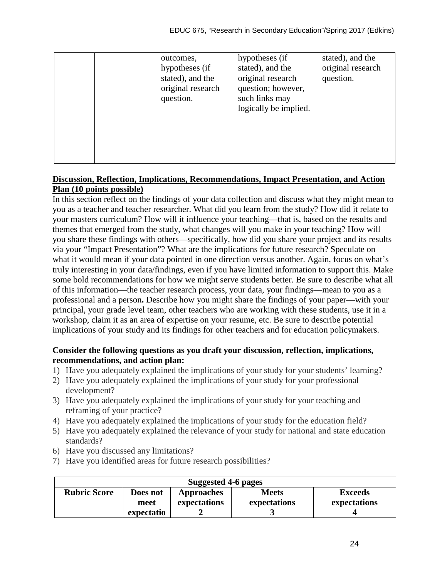|  | outcomes,<br>hypotheses (if<br>stated), and the<br>original research<br>question. | hypotheses (if<br>stated), and the<br>original research<br>question; however,<br>such links may<br>logically be implied. | stated), and the<br>original research<br>question. |
|--|-----------------------------------------------------------------------------------|--------------------------------------------------------------------------------------------------------------------------|----------------------------------------------------|
|--|-----------------------------------------------------------------------------------|--------------------------------------------------------------------------------------------------------------------------|----------------------------------------------------|

## **Discussion, Reflection, Implications, Recommendations, Impact Presentation, and Action Plan (10 points possible)**

In this section reflect on the findings of your data collection and discuss what they might mean to you as a teacher and teacher researcher. What did you learn from the study? How did it relate to your masters curriculum? How will it influence your teaching—that is, based on the results and themes that emerged from the study, what changes will you make in your teaching? How will you share these findings with others—specifically, how did you share your project and its results via your "Impact Presentation"? What are the implications for future research? Speculate on what it would mean if your data pointed in one direction versus another. Again, focus on what's truly interesting in your data/findings, even if you have limited information to support this. Make some bold recommendations for how we might serve students better. Be sure to describe what all of this information—the teacher research process, your data, your findings—mean to you as a professional and a person**.** Describe how you might share the findings of your paper—with your principal, your grade level team, other teachers who are working with these students, use it in a workshop, claim it as an area of expertise on your resume, etc. Be sure to describe potential implications of your study and its findings for other teachers and for education policymakers.

## **Consider the following questions as you draft your discussion, reflection, implications, recommendations, and action plan:**

- 1) Have you adequately explained the implications of your study for your students' learning?
- 2) Have you adequately explained the implications of your study for your professional development?
- 3) Have you adequately explained the implications of your study for your teaching and reframing of your practice?
- 4) Have you adequately explained the implications of your study for the education field?
- 5) Have you adequately explained the relevance of your study for national and state education standards?
- 6) Have you discussed any limitations?
- 7) Have you identified areas for future research possibilities?

| Suggested 4-6 pages                                                                    |            |              |              |              |
|----------------------------------------------------------------------------------------|------------|--------------|--------------|--------------|
| <b>Rubric Score</b><br><b>Meets</b><br><b>Exceeds</b><br><b>Approaches</b><br>Does not |            |              |              |              |
|                                                                                        | meet       | expectations | expectations | expectations |
|                                                                                        | expectatio |              |              |              |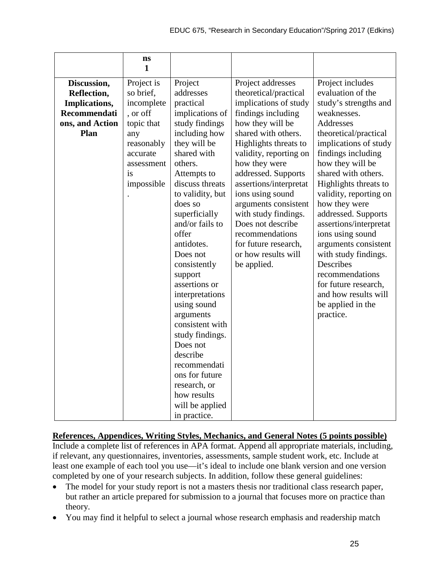|                 | ns         |                  |                        |                        |
|-----------------|------------|------------------|------------------------|------------------------|
|                 | 1          |                  |                        |                        |
| Discussion,     | Project is | Project          | Project addresses      | Project includes       |
| Reflection,     | so brief,  | addresses        | theoretical/practical  | evaluation of the      |
| Implications,   | incomplete | practical        | implications of study  | study's strengths and  |
| Recommendati    | , or off   | implications of  | findings including     | weaknesses.            |
| ons, and Action | topic that | study findings   | how they will be       | Addresses              |
| Plan            | any        | including how    | shared with others.    | theoretical/practical  |
|                 | reasonably | they will be     | Highlights threats to  | implications of study  |
|                 | accurate   | shared with      | validity, reporting on | findings including     |
|                 | assessment | others.          | how they were          | how they will be       |
|                 | is         | Attempts to      | addressed. Supports    | shared with others.    |
|                 | impossible | discuss threats  | assertions/interpretat | Highlights threats to  |
|                 |            | to validity, but | ions using sound       | validity, reporting on |
|                 |            | does so          | arguments consistent   | how they were          |
|                 |            | superficially    | with study findings.   | addressed. Supports    |
|                 |            | and/or fails to  | Does not describe      | assertions/interpretat |
|                 |            | offer            | recommendations        | ions using sound       |
|                 |            | antidotes.       | for future research,   | arguments consistent   |
|                 |            | Does not         | or how results will    | with study findings.   |
|                 |            | consistently     | be applied.            | Describes              |
|                 |            | support          |                        | recommendations        |
|                 |            | assertions or    |                        | for future research,   |
|                 |            | interpretations  |                        | and how results will   |
|                 |            | using sound      |                        | be applied in the      |
|                 |            | arguments        |                        | practice.              |
|                 |            | consistent with  |                        |                        |
|                 |            | study findings.  |                        |                        |
|                 |            | Does not         |                        |                        |
|                 |            | describe         |                        |                        |
|                 |            | recommendati     |                        |                        |
|                 |            | ons for future   |                        |                        |
|                 |            | research, or     |                        |                        |
|                 |            | how results      |                        |                        |
|                 |            | will be applied  |                        |                        |
|                 |            | in practice.     |                        |                        |

## **References, Appendices, Writing Styles, Mechanics, and General Notes (5 points possible)**

Include a complete list of references in APA format. Append all appropriate materials, including, if relevant, any questionnaires, inventories, assessments, sample student work, etc. Include at least one example of each tool you use—it's ideal to include one blank version and one version completed by one of your research subjects. In addition, follow these general guidelines:

- The model for your study report is not a masters thesis nor traditional class research paper, but rather an article prepared for submission to a journal that focuses more on practice than theory.
- You may find it helpful to select a journal whose research emphasis and readership match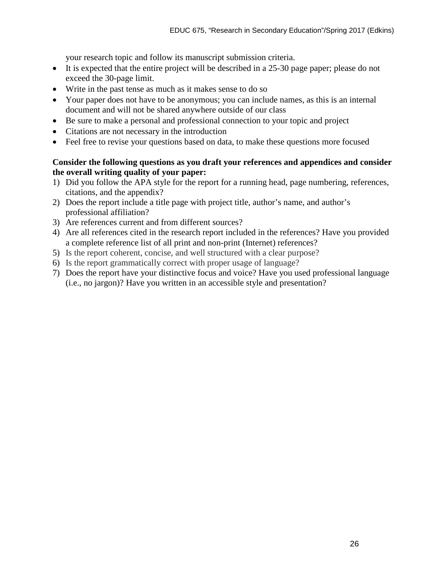your research topic and follow its manuscript submission criteria.

- It is expected that the entire project will be described in a 25-30 page paper; please do not exceed the 30-page limit.
- Write in the past tense as much as it makes sense to do so
- Your paper does not have to be anonymous; you can include names, as this is an internal document and will not be shared anywhere outside of our class
- Be sure to make a personal and professional connection to your topic and project
- Citations are not necessary in the introduction
- Feel free to revise your questions based on data, to make these questions more focused

### **Consider the following questions as you draft your references and appendices and consider the overall writing quality of your paper:**

- 1) Did you follow the APA style for the report for a running head, page numbering, references, citations, and the appendix?
- 2) Does the report include a title page with project title, author's name, and author's professional affiliation?
- 3) Are references current and from different sources?
- 4) Are all references cited in the research report included in the references? Have you provided a complete reference list of all print and non-print (Internet) references?
- 5) Is the report coherent, concise, and well structured with a clear purpose?
- 6) Is the report grammatically correct with proper usage of language?
- 7) Does the report have your distinctive focus and voice? Have you used professional language (i.e., no jargon)? Have you written in an accessible style and presentation?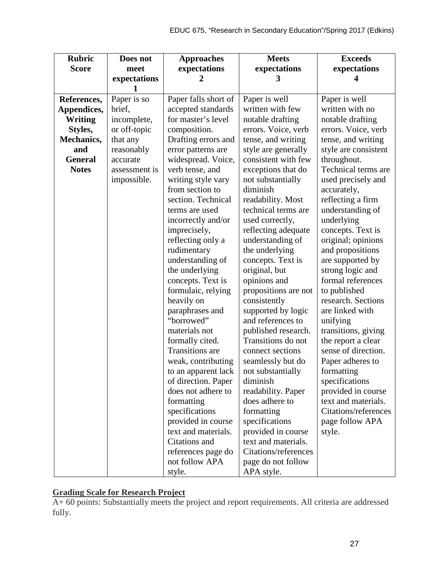| <b>Rubric</b><br><b>Score</b> | Does not<br>meet | <b>Approaches</b><br>expectations | <b>Meets</b><br>expectations | <b>Exceeds</b><br>expectations |
|-------------------------------|------------------|-----------------------------------|------------------------------|--------------------------------|
|                               | expectations     | 2                                 | 3                            | 4                              |
| References,                   | Paper is so      | Paper falls short of              | Paper is well                | Paper is well                  |
| Appendices,                   | brief,           | accepted standards                | written with few             | written with no                |
| <b>Writing</b>                | incomplete,      | for master's level                | notable drafting             | notable drafting               |
| Styles,                       | or off-topic     | composition.                      | errors. Voice, verb          | errors. Voice, verb            |
| <b>Mechanics,</b>             | that any         | Drafting errors and               | tense, and writing           | tense, and writing             |
| and                           | reasonably       | error patterns are                | style are generally          | style are consistent           |
| <b>General</b>                | accurate         | widespread. Voice,                | consistent with few          | throughout.                    |
| <b>Notes</b>                  | assessment is    | verb tense, and                   | exceptions that do           | Technical terms are            |
|                               | impossible.      | writing style vary                | not substantially            | used precisely and             |
|                               |                  | from section to                   | diminish                     | accurately,                    |
|                               |                  | section. Technical                | readability. Most            | reflecting a firm              |
|                               |                  | terms are used                    | technical terms are          | understanding of               |
|                               |                  | incorrectly and/or                | used correctly,              | underlying                     |
|                               |                  | imprecisely,                      | reflecting adequate          | concepts. Text is              |
|                               |                  | reflecting only a                 | understanding of             | original; opinions             |
|                               |                  | rudimentary                       | the underlying               | and propositions               |
|                               |                  | understanding of                  | concepts. Text is            | are supported by               |
|                               |                  | the underlying                    | original, but                | strong logic and               |
|                               |                  | concepts. Text is                 | opinions and                 | formal references              |
|                               |                  | formulaic, relying                | propositions are not         | to published                   |
|                               |                  | heavily on                        | consistently                 | research. Sections             |
|                               |                  | paraphrases and                   | supported by logic           | are linked with                |
|                               |                  | "borrowed"                        | and references to            | unifying                       |
|                               |                  | materials not                     | published research.          | transitions, giving            |
|                               |                  | formally cited.                   | Transitions do not           | the report a clear             |
|                               |                  | <b>Transitions</b> are            | connect sections             | sense of direction.            |
|                               |                  | weak, contributing                | seamlessly but do            | Paper adheres to               |
|                               |                  | to an apparent lack               | not substantially            | formatting                     |
|                               |                  | of direction. Paper               | diminish                     | specifications                 |
|                               |                  | does not adhere to                | readability. Paper           | provided in course             |
|                               |                  | formatting                        | does adhere to               | text and materials.            |
|                               |                  | specifications                    | formatting                   | Citations/references           |
|                               |                  | provided in course                | specifications               | page follow APA                |
|                               |                  | text and materials.               | provided in course           | style.                         |
|                               |                  | Citations and                     | text and materials.          |                                |
|                               |                  | references page do                | Citations/references         |                                |
|                               |                  | not follow APA                    | page do not follow           |                                |
|                               |                  | style.                            | APA style.                   |                                |

# **Grading Scale for Research Project**

A+ 60 points: Substantially meets the project and report requirements. All criteria are addressed fully.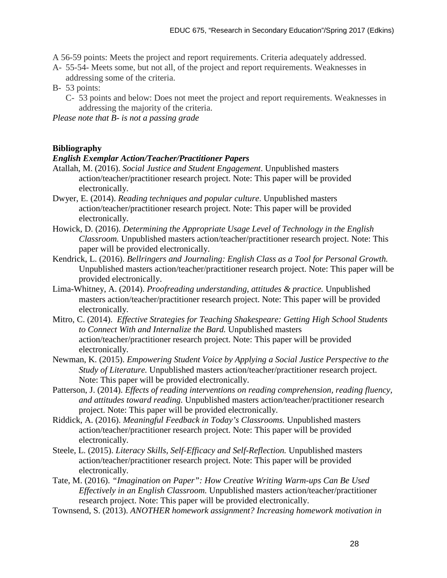A 56-59 points: Meets the project and report requirements. Criteria adequately addressed.

- A- 55-54- Meets some, but not all, of the project and report requirements. Weaknesses in addressing some of the criteria.
- B- 53 points:
	- C- 53 points and below: Does not meet the project and report requirements. Weaknesses in addressing the majority of the criteria.

*Please note that B- is not a passing grade*

#### **Bibliography**

#### *English Exemplar Action/Teacher/Practitioner Papers*

- Atallah, M. (2016). *Social Justice and Student Engagement*. Unpublished masters action/teacher/practitioner research project. Note: This paper will be provided electronically.
- Dwyer, E. (2014). *Reading techniques and popular culture*. Unpublished masters action/teacher/practitioner research project. Note: This paper will be provided electronically.
- Howick, D. (2016). *Determining the Appropriate Usage Level of Technology in the English Classroom.* Unpublished masters action/teacher/practitioner research project. Note: This paper will be provided electronically.
- Kendrick, L. (2016). *Bellringers and Journaling: English Class as a Tool for Personal Growth.* Unpublished masters action/teacher/practitioner research project. Note: This paper will be provided electronically.
- Lima-Whitney, A. (2014). *Proofreading understanding, attitudes & practice.* Unpublished masters action/teacher/practitioner research project. Note: This paper will be provided electronically.
- Mitro, C. (2014). *Effective Strategies for Teaching Shakespeare: Getting High School Students to Connect With and Internalize the Bard.* Unpublished masters action/teacher/practitioner research project. Note: This paper will be provided electronically.
- Newman, K. (2015). *Empowering Student Voice by Applying a Social Justice Perspective to the Study of Literature.* Unpublished masters action/teacher/practitioner research project. Note: This paper will be provided electronically.
- Patterson, J. (2014). *Effects of reading interventions on reading comprehension, reading fluency, and attitudes toward reading.* Unpublished masters action/teacher/practitioner research project. Note: This paper will be provided electronically.
- Riddick, A. (2016). *Meaningful Feedback in Today's Classrooms.* Unpublished masters action/teacher/practitioner research project. Note: This paper will be provided electronically.
- Steele, L. (2015). *Literacy Skills, Self-Efficacy and Self-Reflection.* Unpublished masters action/teacher/practitioner research project. Note: This paper will be provided electronically.
- Tate, M. (2016). *"Imagination on Paper": How Creative Writing Warm-ups Can Be Used Effectively in an English Classroom.* Unpublished masters action/teacher/practitioner research project. Note: This paper will be provided electronically.
- Townsend, S. (2013). *ANOTHER homework assignment? Increasing homework motivation in*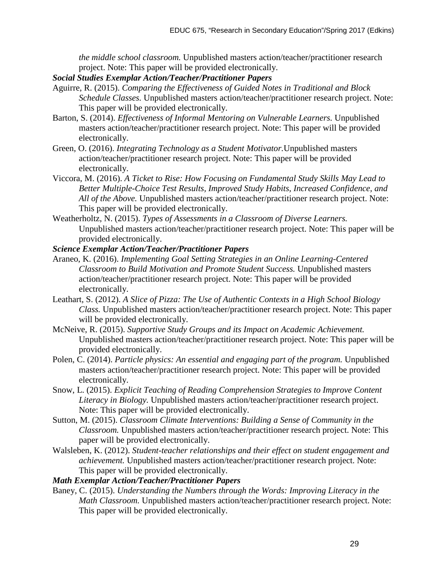*the middle school classroom.* Unpublished masters action/teacher/practitioner research project. Note: This paper will be provided electronically.

- *Social Studies Exemplar Action/Teacher/Practitioner Papers*
- Aguirre, R. (2015). *Comparing the Effectiveness of Guided Notes in Traditional and Block Schedule Classes.* Unpublished masters action/teacher/practitioner research project. Note: This paper will be provided electronically.
- Barton, S. (2014). *Effectiveness of Informal Mentoring on Vulnerable Learners.* Unpublished masters action/teacher/practitioner research project. Note: This paper will be provided electronically.
- Green, O. (2016). *Integrating Technology as a Student Motivator.*Unpublished masters action/teacher/practitioner research project. Note: This paper will be provided electronically.
- Viccora, M. (2016). *A Ticket to Rise: How Focusing on Fundamental Study Skills May Lead to Better Multiple-Choice Test Results, Improved Study Habits, Increased Confidence, and All of the Above.* Unpublished masters action/teacher/practitioner research project. Note: This paper will be provided electronically.
- Weatherholtz, N. (2015). *Types of Assessments in a Classroom of Diverse Learners.*  Unpublished masters action/teacher/practitioner research project. Note: This paper will be provided electronically.

#### *Science Exemplar Action/Teacher/Practitioner Papers*

- Araneo, K. (2016). *Implementing Goal Setting Strategies in an Online Learning-Centered Classroom to Build Motivation and Promote Student Success.* Unpublished masters action/teacher/practitioner research project. Note: This paper will be provided electronically.
- Leathart, S. (2012). *A Slice of Pizza: The Use of Authentic Contexts in a High School Biology Class.* Unpublished masters action/teacher/practitioner research project. Note: This paper will be provided electronically.
- McNeive, R. (2015). *Supportive Study Groups and its Impact on Academic Achievement.* Unpublished masters action/teacher/practitioner research project. Note: This paper will be provided electronically.
- Polen, C. (2014). *Particle physics: An essential and engaging part of the program.* Unpublished masters action/teacher/practitioner research project. Note: This paper will be provided electronically.
- Snow, L. (2015). *Explicit Teaching of Reading Comprehension Strategies to Improve Content Literacy in Biology.* Unpublished masters action/teacher/practitioner research project. Note: This paper will be provided electronically.
- Sutton, M. (2015). *Classroom Climate Interventions: Building a Sense of Community in the Classroom.* Unpublished masters action/teacher/practitioner research project. Note: This paper will be provided electronically.
- Walsleben, K. (2012). *Student-teacher relationships and their effect on student engagement and achievement.* Unpublished masters action/teacher/practitioner research project. Note: This paper will be provided electronically.

*Math Exemplar Action/Teacher/Practitioner Papers*

Baney, C. (2015). *Understanding the Numbers through the Words: Improving Literacy in the Math Classroom.* Unpublished masters action/teacher/practitioner research project. Note: This paper will be provided electronically.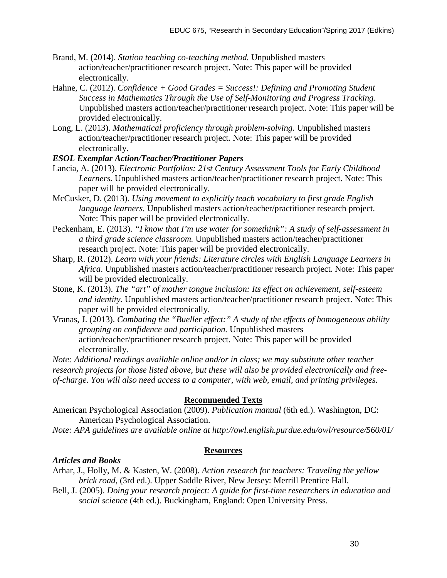- Brand, M. (2014). *Station teaching co-teaching method.* Unpublished masters action/teacher/practitioner research project. Note: This paper will be provided electronically.
- Hahne, C. (2012). *Confidence + Good Grades = Success!: Defining and Promoting Student Success in Mathematics Through the Use of Self-Monitoring and Progress Tracking*. Unpublished masters action/teacher/practitioner research project. Note: This paper will be provided electronically.
- Long, L. (2013). *Mathematical proficiency through problem-solving.* Unpublished masters action/teacher/practitioner research project. Note: This paper will be provided electronically.

### *ESOL Exemplar Action/Teacher/Practitioner Papers*

- Lancia, A. (2013). *Electronic Portfolios: 21st Century Assessment Tools for Early Childhood Learners.* Unpublished masters action/teacher/practitioner research project. Note: This paper will be provided electronically.
- McCusker, D. (2013). *Using movement to explicitly teach vocabulary to first grade English language learners.* Unpublished masters action/teacher/practitioner research project. Note: This paper will be provided electronically.
- Peckenham, E. (2013). *"I know that I'm use water for somethink": A study of self-assessment in a third grade science classroom.* Unpublished masters action/teacher/practitioner research project. Note: This paper will be provided electronically.
- Sharp, R. (2012). *Learn with your friends: Literature circles with English Language Learners in Africa*. Unpublished masters action/teacher/practitioner research project. Note: This paper will be provided electronically.
- Stone, K. (2013). *The "art" of mother tongue inclusion: Its effect on achievement, self-esteem and identity.* Unpublished masters action/teacher/practitioner research project. Note: This paper will be provided electronically.
- Vranas, J. (2013). *Combating the "Bueller effect:" A study of the effects of homogeneous ability grouping on confidence and participation.* Unpublished masters action/teacher/practitioner research project. Note: This paper will be provided electronically.

*Note: Additional readings available online and/or in class; we may substitute other teacher research projects for those listed above, but these will also be provided electronically and freeof-charge. You will also need access to a computer, with web, email, and printing privileges.*

## **Recommended Texts**

American Psychological Association (2009). *Publication manual* (6th ed.). Washington, DC: American Psychological Association.

*Note: APA guidelines are available online at http://owl.english.purdue.edu/owl/resource/560/01/*

#### **Resources**

#### *Articles and Books*

- Arhar, J., Holly, M. & Kasten, W. (2008). *Action research for teachers: Traveling the yellow brick road*, (3rd ed.). Upper Saddle River, New Jersey: Merrill Prentice Hall.
- Bell, J. (2005). *Doing your research project: A guide for first-time researchers in education and social science* (4th ed.). Buckingham, England: Open University Press.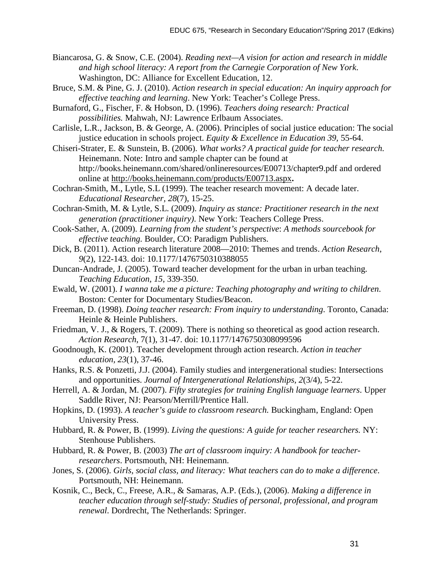- Biancarosa, G. & Snow, C.E. (2004). *Reading next—A vision for action and research in middle and high school literacy: A report from the Carnegie Corporation of New York*. Washington, DC: Alliance for Excellent Education, 12.
- Bruce, S.M. & Pine, G. J. (2010). *Action research in special education: An inquiry approach for effective teaching and learning*. New York: Teacher's College Press.
- Burnaford, G., Fischer, F. & Hobson, D. (1996). *Teachers doing research: Practical possibilities.* Mahwah, NJ: Lawrence Erlbaum Associates.
- Carlisle, L.R., Jackson, B. & George, A. (2006). Principles of social justice education: The social justice education in schools project. *Equity & Excellence in Education 39,* 55-64.
- Chiseri-Strater, E. & Sunstein, B. (2006). *What works? A practical guide for teacher research.*  Heinemann. Note: Intro and sample chapter can be found at http://books.heinemann.com/shared/onlineresources/E00713/chapter9.pdf and ordered online at<http://books.heinemann.com/products/E00713.aspx>**.**
- Cochran-Smith, M., Lytle, S.L (1999). The teacher research movement: A decade later. *Educational Researcher, 28*(7), 15-25.
- Cochran-Smith, M. & Lytle, S.L. (2009). *Inquiry as stance: Practitioner research in the next generation (practitioner inquiry)*. New York: Teachers College Press.
- Cook-Sather, A. (2009). *Learning from the student's perspective*: *A methods sourcebook for effective teaching.* Boulder, CO: Paradigm Publishers.
- Dick, B. (2011). Action research literature 2008—2010: Themes and trends. *Action Research*, *9*(2), 122-143. doi: 10.1177/1476750310388055
- Duncan-Andrade, J. (2005). Toward teacher development for the urban in urban teaching. *Teaching Education, 15*, 339-350.
- Ewald, W. (2001). *I wanna take me a picture: Teaching photography and writing to children*. Boston: Center for Documentary Studies/Beacon.
- Freeman, D. (1998). *Doing teacher research: From inquiry to understanding*. Toronto, Canada: Heinle & Heinle Publishers.
- Friedman, V. J., & Rogers, T. (2009). There is nothing so theoretical as good action research. *Action Research*, 7(1), 31-47. doi: 10.1177/1476750308099596
- Goodnough, K. (2001). Teacher development through action research. *Action in teacher education, 23*(1), 37-46.
- Hanks, R.S. & Ponzetti, J.J. (2004). Family studies and intergenerational studies: Intersections and opportunities. *Journal of Intergenerational Relationships, 2*(3/4), 5-22.
- Herrell, A. & Jordan, M. (2007). *Fifty strategies for training English language learners*. Upper Saddle River, NJ: Pearson/Merrill/Prentice Hall.
- Hopkins, D. (1993). *A teacher's guide to classroom research.* Buckingham, England: Open University Press.
- Hubbard, R. & Power, B. (1999). *Living the questions: A guide for teacher researchers.* NY: Stenhouse Publishers.
- Hubbard, R. & Power, B. (2003) *The art of classroom inquiry: A handbook for teacherresearchers*. Portsmouth, NH: Heinemann.
- Jones, S. (2006). *Girls, social class, and literacy: What teachers can do to make a difference*. Portsmouth, NH: Heinemann.
- Kosnik, C., Beck, C., Freese, A.R., & Samaras, A.P. (Eds.), (2006). *Making a difference in teacher education through self-study: Studies of personal, professional, and program renewal*. Dordrecht, The Netherlands: Springer.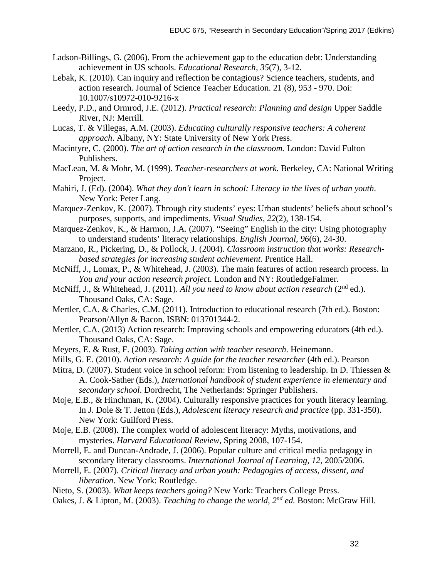- Ladson-Billings, G. (2006). From the achievement gap to the education debt: Understanding achievement in US schools. *Educational Research, 35*(7), 3-12.
- Lebak, K. (2010). Can inquiry and reflection be contagious? Science teachers, students, and action research. Journal of Science Teacher Education. 21 (8), 953 - 970. Doi: 10.1007/s10972-010-9216-x
- Leedy, P.D., and Ormrod, J.E. (2012). *Practical research: Planning and design* Upper Saddle River, NJ: Merrill.
- Lucas, T. & Villegas, A.M. (2003). *Educating culturally responsive teachers: A coherent approach*. Albany, NY: State University of New York Press.
- Macintyre, C. (2000). *The art of action research in the classroom.* London: David Fulton Publishers.
- MacLean, M. & Mohr, M. (1999). *Teacher-researchers at work.* Berkeley, CA: National Writing Project.
- Mahiri, J. (Ed). (2004). *What they don't learn in school: Literacy in the lives of urban youth*. New York: Peter Lang.
- Marquez-Zenkov, K. (2007). Through city students' eyes: Urban students' beliefs about school's purposes, supports, and impediments. *Visual Studies, 22*(2), 138-154.
- Marquez-Zenkov, K., & Harmon, J.A. (2007). "Seeing" English in the city: Using photography to understand students' literacy relationships. *English Journal, 96*(6), 24-30.
- Marzano, R., Pickering, D., & Pollock, J. (2004). *Classroom instruction that works: Researchbased strategies for increasing student achievement.* Prentice Hall.
- McNiff, J., Lomax, P., & Whitehead, J. (2003). The main features of action research process. In *You and your action research project.* London and NY: RoutledgeFalmer.
- McNiff, J., & Whitehead, J. (2011). *All you need to know about action research* (2nd ed.). Thousand Oaks, CA: Sage.
- Mertler, C.A. & Charles, C.M. (2011). Introduction to educational research (7th ed.). Boston: Pearson/Allyn & Bacon. ISBN: 013701344-2.
- Mertler, C.A. (2013) Action research: Improving schools and empowering educators (4th ed.). Thousand Oaks, CA: Sage.
- Meyers, E. & Rust, F. (2003). *Taking action with teacher research*. Heinemann.
- Mills, G. E. (2010). *Action research: A guide for the teacher researcher* (4th ed.). Pearson
- Mitra, D. (2007). Student voice in school reform: From listening to leadership. In D. Thiessen & A. Cook-Sather (Eds.), *International handbook of student experience in elementary and secondary school*. Dordrecht, The Netherlands: Springer Publishers.
- Moje, E.B., & Hinchman, K. (2004). Culturally responsive practices for youth literacy learning. In J. Dole & T. Jetton (Eds.), *Adolescent literacy research and practice* (pp. 331-350). New York: Guilford Press.
- Moje, E.B. (2008). The complex world of adolescent literacy: Myths, motivations, and mysteries. *Harvard Educational Review*, Spring 2008, 107-154.
- Morrell, E. and Duncan-Andrade, J. (2006). Popular culture and critical media pedagogy in secondary literacy classrooms. *International Journal of Learning, 12*, 2005/2006.
- Morrell, E. (2007). *Critical literacy and urban youth: Pedagogies of access, dissent, and liberation*. New York: Routledge.
- Nieto, S. (2003). *What keeps teachers going?* New York: Teachers College Press.
- Oakes, J. & Lipton, M. (2003). *Teaching to change the world, 2nd ed.* Boston: McGraw Hill.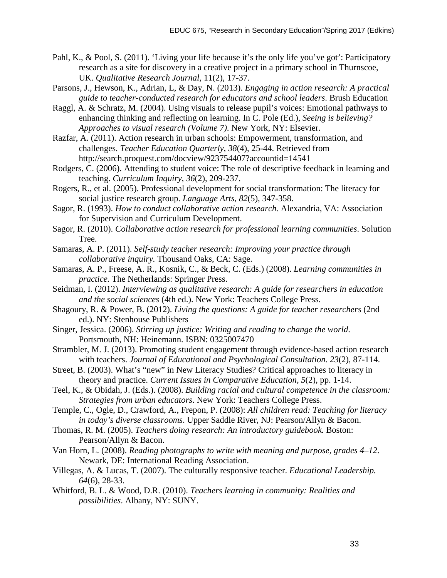- Pahl, K., & Pool, S. (2011). 'Living your life because it's the only life you've got': Participatory research as a site for discovery in a creative project in a primary school in Thurnscoe, UK. *Qualitative Research Journal*, 11(2), 17-37.
- Parsons, J., Hewson, K., Adrian, L, & Day, N. (2013). *Engaging in action research: A practical guide to teacher-conducted research for educators and school leaders*. Brush Education
- Raggl, A. & Schratz, M. (2004). Using visuals to release pupil's voices: Emotional pathways to enhancing thinking and reflecting on learning. In C. Pole (Ed.), *Seeing is believing? Approaches to visual research (Volume 7)*. New York, NY: Elsevier.
- Razfar, A. (2011). Action research in urban schools: Empowerment, transformation, and challenges. *Teacher Education Quarterly, 38*(4), 25-44. Retrieved from http://search.proquest.com/docview/923754407?accountid=14541
- Rodgers, C. (2006). Attending to student voice: The role of descriptive feedback in learning and teaching. *Curriculum Inquiry, 36*(2), 209-237.
- Rogers, R., et al. (2005). Professional development for social transformation: The literacy for social justice research group. *Language Arts, 82*(5), 347-358.
- Sagor, R. (1993). *How to conduct collaborative action research.* Alexandria, VA: Association for Supervision and Curriculum Development.
- Sagor, R. (2010). *Collaborative action research for professional learning communities*. Solution Tree.
- Samaras, A. P. (2011). *Self-study teacher research: Improving your practice through collaborative inquiry.* Thousand Oaks, CA: Sage.
- Samaras, A. P., Freese, A. R., Kosnik, C., & Beck, C. (Eds.) (2008). *Learning communities in practice.* The Netherlands: Springer Press.
- Seidman, I. (2012). *Interviewing as qualitative research: A guide for researchers in education and the social sciences* (4th ed.). New York: Teachers College Press.
- Shagoury, R. & Power, B. (2012). *Living the questions: A guide for teacher researchers* (2nd ed.). NY: Stenhouse Publishers
- Singer, Jessica. (2006). *Stirring up justice: Writing and reading to change the world*. Portsmouth, NH: Heinemann. ISBN: 0325007470
- Strambler, M. J. (2013). Promoting student engagement through evidence-based action research with teachers. *Journal of Educational and Psychological Consultation. 23*(2), 87-114.
- Street, B. (2003). What's "new" in New Literacy Studies? Critical approaches to literacy in theory and practice. *Current Issues in Comparative Education, 5*(2), pp. 1-14.
- Teel, K., & Obidah, J. (Eds.). (2008). *Building racial and cultural competence in the classroom: Strategies from urban educators*. New York: Teachers College Press.
- Temple, C., Ogle, D., Crawford, A., Frepon, P. (2008): *All children read: Teaching for literacy in today's diverse classrooms*. Upper Saddle River, NJ: Pearson/Allyn & Bacon.
- Thomas, R. M. (2005). *Teachers doing research: An introductory guidebook.* Boston: Pearson/Allyn & Bacon.
- Van Horn, L. (2008). *Reading photographs to write with meaning and purpose, grades 4–12*. Newark, DE: International Reading Association.
- Villegas, A. & Lucas, T. (2007). The culturally responsive teacher. *Educational Leadership. 64*(6), 28-33.
- Whitford, B. L. & Wood, D.R. (2010). *Teachers learning in community: Realities and possibilities*. Albany, NY: SUNY.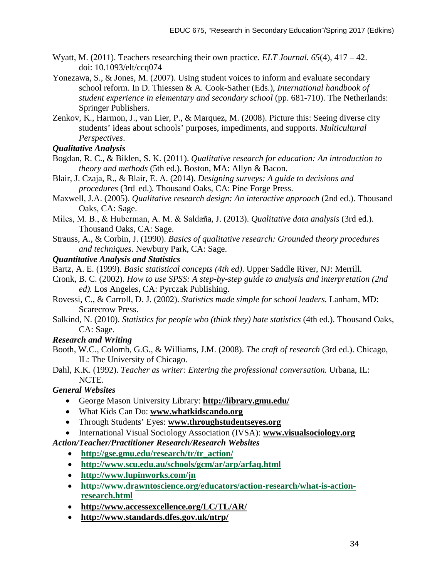- Wyatt, M. (2011). Teachers researching their own practice*. ELT Journal. 65*(4), 417 42. doi: 10.1093/elt/ccq074
- Yonezawa, S., & Jones, M. (2007). Using student voices to inform and evaluate secondary school reform. In D. Thiessen & A. Cook-Sather (Eds.), *International handbook of student experience in elementary and secondary school* (pp. 681-710). The Netherlands: Springer Publishers.
- Zenkov, K., Harmon, J., van Lier, P., & Marquez, M. (2008). Picture this: Seeing diverse city students' ideas about schools' purposes, impediments, and supports. *Multicultural Perspectives*.

# *Qualitative Analysis*

- Bogdan, R. C., & Biklen, S. K. (2011). *Qualitative research for education: An introduction to theory and methods* (5th ed.). Boston, MA: Allyn & Bacon.
- Blair, J. Czaja, R., & Blair, E. A. (2014). *Designing surveys: A guide to decisions and procedures* (3rd ed.)*.* Thousand Oaks, CA: Pine Forge Press.
- Maxwell, J.A. (2005). *Qualitative research design: An interactive approach* (2nd ed.). Thousand Oaks, CA: Sage.
- Miles, M. B., & Huberman, A. M. & Saldaña, J. (2013). *Qualitative data analysis* (3rd ed.). Thousand Oaks, CA: Sage.
- Strauss, A., & Corbin, J. (1990). *Basics of qualitative research: Grounded theory procedures and techniques*. Newbury Park, CA: Sage.

# *Quantitative Analysis and Statistics*

Bartz, A. E. (1999). *Basic statistical concepts (4th ed)*. Upper Saddle River, NJ: Merrill.

- Cronk, B. C. (2002). *How to use SPSS: A step-by-step guide to analysis and interpretation (2nd ed).* Los Angeles, CA: Pyrczak Publishing.
- Rovessi, C., & Carroll, D. J. (2002). *Statistics made simple for school leaders.* Lanham, MD: Scarecrow Press.
- Salkind, N. (2010). *Statistics for people who (think they) hate statistics* (4th ed.). Thousand Oaks, CA: Sage.

# *Research and Writing*

- Booth, W.C., Colomb, G.G., & Williams, J.M. (2008). *The craft of research* (3rd ed.). Chicago, IL: The University of Chicago.
- Dahl, K.K. (1992). *Teacher as writer: Entering the professional conversation*. Urbana, IL: NCTE.

# *General Websites*

- George Mason University Library: **<http://library.gmu.edu/>**
- What Kids Can Do: **[www.whatkidscando.org](http://www.whatkidscando.org/)**
- Through Students' Eyes: **[www.throughstudentseyes.org](http://www.throughstudentseyes.org/)**

# • International Visual Sociology Association (IVSA): **[www.visualsociology.org](http://www.visualsociology.org/)**

# *Action/Teacher/Practitioner Research/Research Websites*

- **[http://gse.gmu.edu/research/tr/tr\\_action/](http://gse.gmu.edu/research/tr/tr_action/)**
- **<http://www.scu.edu.au/schools/gcm/ar/arp/arfaq.html>**
- **<http://www.lupinworks.com/jn>**
- **[http://www.drawntoscience.org/educators/action-research/what-is-action](http://www.drawntoscience.org/educators/action-research/what-is-action-research.html)[research.html](http://www.drawntoscience.org/educators/action-research/what-is-action-research.html)**
- **<http://www.accessexcellence.org/LC/TL/AR/>**
- **<http://www.standards.dfes.gov.uk/ntrp/>**